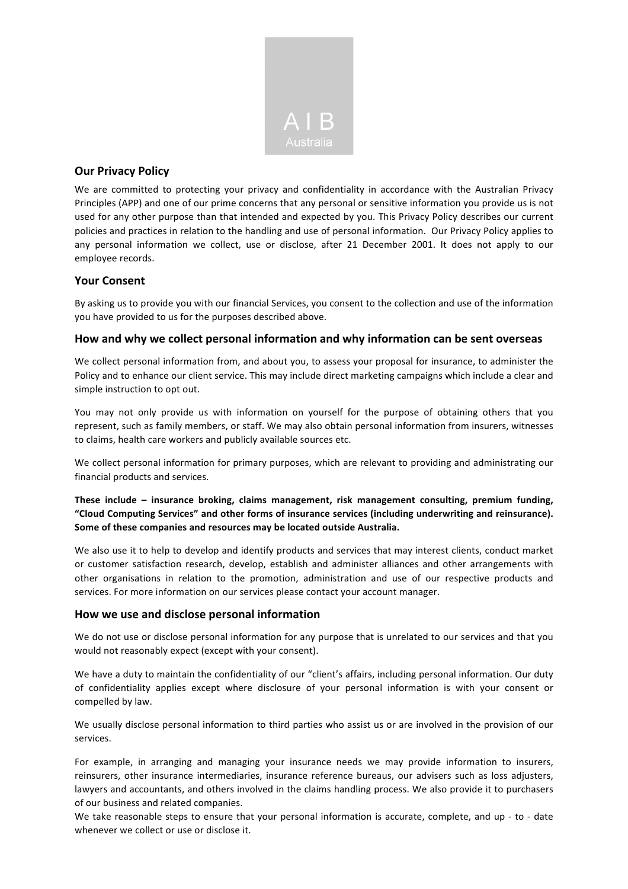

# **Our Privacy Policy**

We are committed to protecting your privacy and confidentiality in accordance with the Australian Privacy Principles (APP) and one of our prime concerns that any personal or sensitive information you provide us is not used for any other purpose than that intended and expected by you. This Privacy Policy describes our current policies and practices in relation to the handling and use of personal information. Our Privacy Policy applies to any personal information we collect, use or disclose, after 21 December 2001. It does not apply to our employee records.

### **Your Consent**

By asking us to provide you with our financial Services, you consent to the collection and use of the information you have provided to us for the purposes described above.

#### How and why we collect personal information and why information can be sent overseas

We collect personal information from, and about you, to assess your proposal for insurance, to administer the Policy and to enhance our client service. This may include direct marketing campaigns which include a clear and simple instruction to opt out.

You may not only provide us with information on yourself for the purpose of obtaining others that you represent, such as family members, or staff. We may also obtain personal information from insurers, witnesses to claims, health care workers and publicly available sources etc.

We collect personal information for primary purposes, which are relevant to providing and administrating our financial products and services.

**These include – insurance broking, claims management, risk management consulting, premium funding, "Cloud Computing Services" and other forms of insurance services (including underwriting and reinsurance).** Some of these companies and resources may be located outside Australia.

We also use it to help to develop and identify products and services that may interest clients, conduct market or customer satisfaction research, develop, establish and administer alliances and other arrangements with other organisations in relation to the promotion, administration and use of our respective products and services. For more information on our services please contact your account manager.

#### How we use and disclose personal information

We do not use or disclose personal information for any purpose that is unrelated to our services and that you would not reasonably expect (except with your consent).

We have a duty to maintain the confidentiality of our "client's affairs, including personal information. Our duty of confidentiality applies except where disclosure of your personal information is with your consent or compelled by law.

We usually disclose personal information to third parties who assist us or are involved in the provision of our services.

For example, in arranging and managing your insurance needs we may provide information to insurers, reinsurers, other insurance intermediaries, insurance reference bureaus, our advisers such as loss adjusters, lawyers and accountants, and others involved in the claims handling process. We also provide it to purchasers of our business and related companies.

We take reasonable steps to ensure that your personal information is accurate, complete, and up - to - date whenever we collect or use or disclose it.